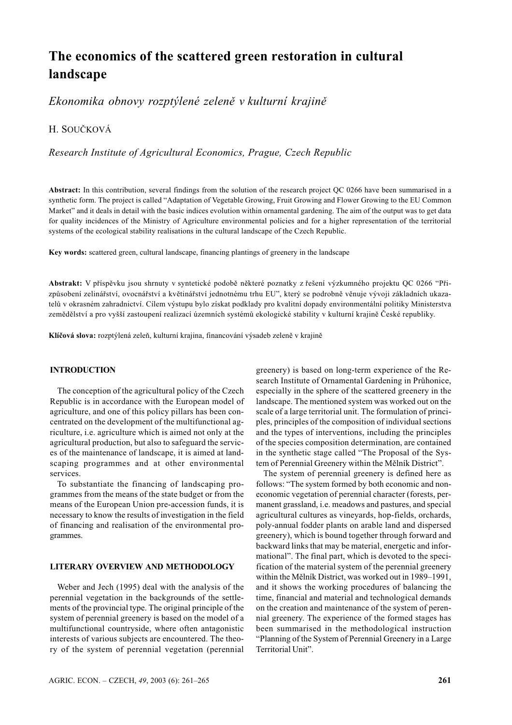# The economics of the scattered green restoration in cultural landscape

Ekonomika obnovy rozptýlené zeleně v kulturní krajině

# H SOUČKOVÁ

Research Institute of Agricultural Economics, Prague, Czech Republic

Abstract: In this contribution, several findings from the solution of the research project QC 0266 have been summarised in a synthetic form. The project is called "Adaptation of Vegetable Growing, Fruit Growing and Flower Growing to the EU Common Market" and it deals in detail with the basic indices evolution within ornamental gardening. The aim of the output was to get data for quality incidences of the Ministry of Agriculture environmental policies and for a higher representation of the territorial systems of the ecological stability realisations in the cultural landscape of the Czech Republic.

Key words: scattered green, cultural landscape, financing plantings of greenery in the landscape

Abstrakt: V příspěvku jsou shrnuty v syntetické podobě některé poznatky z řešení výzkumného projektu QC 0266 "Přizpůsobení zelinářství, ovocnářství a květinářství jednotnému trhu EU", který se podrobně věnuje vývoji základních ukazatelů v okrasném zahradnictví. Cílem výstupu bylo získat podklady pro kvalitní dopady environmentální politiky Ministerstva zemědělství a pro vyšší zastoupení realizací územních systémů ekologické stability v kulturní krajině České republiky.

Klíčová slova: rozptýlená zeleň, kulturní krajina, financování výsadeb zeleně v krajině

## **INTRODUCTION**

The conception of the agricultural policy of the Czech Republic is in accordance with the European model of agriculture, and one of this policy pillars has been concentrated on the development of the multifunctional agriculture, *i.e.* agriculture which is aimed not only at the agricultural production, but also to safeguard the services of the maintenance of landscape, it is aimed at landscaping programmes and at other environmental services.

To substantiate the financing of landscaping programmes from the means of the state budget or from the means of the European Union pre-accession funds, it is necessary to know the results of investigation in the field of financing and realisation of the environmental programmes.

# **LITERARY OVERVIEW AND METHODOLOGY**

Weber and Jech (1995) deal with the analysis of the perennial vegetation in the backgrounds of the settlements of the provincial type. The original principle of the system of perennial greenery is based on the model of a multifunctional countryside, where often antagonistic interests of various subjects are encountered. The theory of the system of perennial vegetation (perennial greenery) is based on long-term experience of the Research Institute of Ornamental Gardening in Průhonice, especially in the sphere of the scattered greenery in the landscape. The mentioned system was worked out on the scale of a large territorial unit. The formulation of principles, principles of the composition of individual sections and the types of interventions, including the principles of the species composition determination, are contained in the synthetic stage called "The Proposal of the System of Perennial Greenery within the Mělník District".

The system of perennial greenery is defined here as follows: "The system formed by both economic and noneconomic vegetation of perennial character (forests, permanent grassland, i.e. meadows and pastures, and special agricultural cultures as vineyards, hop-fields, orchards, poly-annual fodder plants on arable land and dispersed greenery), which is bound together through forward and backward links that may be material, energetic and informational". The final part, which is devoted to the specification of the material system of the perennial greenery within the Mělník District, was worked out in 1989–1991, and it shows the working procedures of balancing the time, financial and material and technological demands on the creation and maintenance of the system of perennial greenery. The experience of the formed stages has been summarised in the methodological instruction "Planning of the System of Perennial Greenery in a Large Territorial Unit".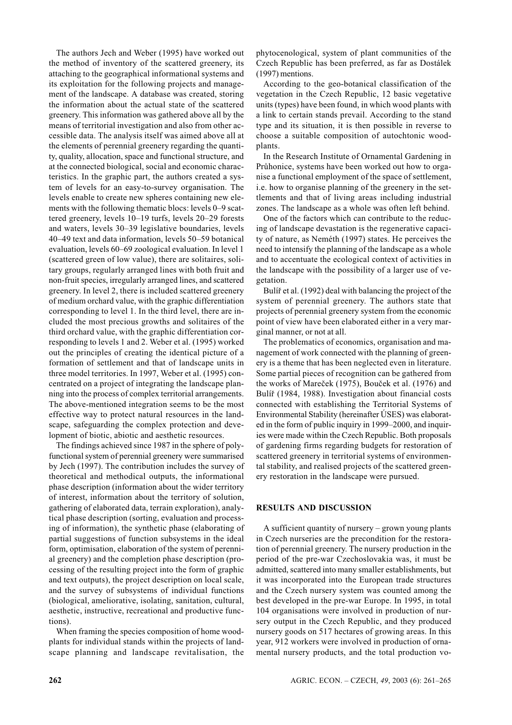The authors Jech and Weber (1995) have worked out the method of inventory of the scattered greenery, its attaching to the geographical informational systems and its exploitation for the following projects and management of the landscape. A database was created, storing the information about the actual state of the scattered greenery. This information was gathered above all by the means of territorial investigation and also from other accessible data. The analysis itself was aimed above all at the elements of perennial greenery regarding the quantity, quality, allocation, space and functional structure, and at the connected biological, social and economic characteristics. In the graphic part, the authors created a system of levels for an easy-to-survey organisation. The levels enable to create new spheres containing new elements with the following thematic blocs: levels 0–9 scattered greenery, levels 10-19 turfs, levels 20-29 forests and waters, levels 30–39 legislative boundaries, levels 40–49 text and data information, levels 50–59 botanical evaluation, levels 60–69 zoological evaluation. In level 1 (scattered green of low value), there are solitaires, solitary groups, regularly arranged lines with both fruit and non-fruit species, irregularly arranged lines, and scattered greenery. In level 2, there is included scattered greenery of medium orchard value, with the graphic differentiation corresponding to level 1. In the third level, there are included the most precious growths and solitaires of the third orchard value, with the graphic differentiation corresponding to levels 1 and 2. Weber et al. (1995) worked out the principles of creating the identical picture of a formation of settlement and that of landscape units in three model territories. In 1997, Weber et al. (1995) concentrated on a project of integrating the landscape planning into the process of complex territorial arrangements. The above-mentioned integration seems to be the most effective way to protect natural resources in the landscape, safeguarding the complex protection and development of biotic, abiotic and aesthetic resources.

The findings achieved since 1987 in the sphere of polyfunctional system of perennial greenery were summarised by Jech (1997). The contribution includes the survey of theoretical and methodical outputs, the informational phase description (information about the wider territory of interest, information about the territory of solution, gathering of elaborated data, terrain exploration), analytical phase description (sorting, evaluation and processing of information), the synthetic phase (elaborating of partial suggestions of function subsystems in the ideal form, optimisation, elaboration of the system of perennial greenery) and the completion phase description (processing of the resulting project into the form of graphic and text outputs), the project description on local scale, and the survey of subsystems of individual functions (biological, ameliorative, isolating, sanitation, cultural, aesthetic, instructive, recreational and productive functions).

When framing the species composition of home woodplants for individual stands within the projects of landscape planning and landscape revitalisation, the phytocenological, system of plant communities of the Czech Republic has been preferred, as far as Dostálek  $(1997)$  mentions.

According to the geo-botanical classification of the vegetation in the Czech Republic, 12 basic vegetative units (types) have been found, in which wood plants with a link to certain stands prevail. According to the stand type and its situation, it is then possible in reverse to choose a suitable composition of autochtonic woodplants.

In the Research Institute of Ornamental Gardening in Průhonice, systems have been worked out how to organise a functional employment of the space of settlement. i.e. how to organise planning of the greenery in the settlements and that of living areas including industrial zones. The landscape as a whole was often left behind.

One of the factors which can contribute to the reducing of landscape devastation is the regenerative capacity of nature, as Neméth (1997) states. He perceives the need to intensify the planning of the landscape as a whole and to accentuate the ecological context of activities in the landscape with the possibility of a larger use of vegetation.

Bulif et al. (1992) deal with balancing the project of the system of perennial greenery. The authors state that projects of perennial greenery system from the economic point of view have been elaborated either in a very marginal manner, or not at all.

The problematics of economics, organisation and management of work connected with the planning of greenery is a theme that has been neglected even in literature. Some partial pieces of recognition can be gathered from the works of Mareček (1975), Bouček et al. (1976) and Bulíř (1984, 1988). Investigation about financial costs connected with establishing the Territorial Systems of Environmental Stability (hereinafter USES) was elaborated in the form of public inquiry in 1999–2000, and inquiries were made within the Czech Republic. Both proposals of gardening firms regarding budgets for restoration of scattered greenery in territorial systems of environmental stability, and realised projects of the scattered greenery restoration in the landscape were pursued.

# **RESULTS AND DISCUSSION**

A sufficient quantity of nursery  $-$  grown young plants in Czech nurseries are the precondition for the restoration of perennial greenery. The nursery production in the period of the pre-war Czechoslovakia was, it must be admitted, scattered into many smaller establishments, but it was incorporated into the European trade structures and the Czech nursery system was counted among the best developed in the pre-war Europe. In 1995, in total 104 organisations were involved in production of nursery output in the Czech Republic, and they produced nursery goods on 517 hectares of growing areas. In this year, 912 workers were involved in production of ornamental nursery products, and the total production vo-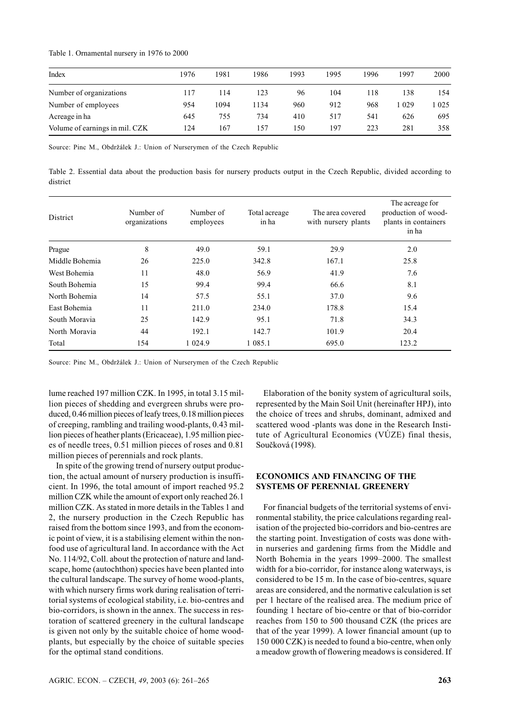#### Table 1. Ornamental nursery in 1976 to 2000

| Index                          | 1976 | 1981 | 1986 | 1993 | 1995 | 1996 | 1997 | 2000 |
|--------------------------------|------|------|------|------|------|------|------|------|
| Number of organizations        | 117  | 114  | 123  | 96   | 104  | 118  | 138  | 154  |
| Number of employees            | 954  | 1094 | 1134 | 960  | 912  | 968  | 1029 | 025  |
| Acreage in ha                  | 645  | 755  | 734  | 410  | 517  | 541  | 626  | 695  |
| Volume of earnings in mil. CZK | 124  | 167  | 57   | 150  | 197  | 223  | 281  | 358  |

Source: Pinc M., Obdržálek J.: Union of Nurserymen of the Czech Republic

Table 2. Essential data about the production basis for nursery products output in the Czech Republic, divided according to district

| <b>District</b> | Number of<br>organizations | Number of<br>employees | Total acreage<br>in ha | The area covered<br>with nursery plants | The acreage for<br>production of wood-<br>plants in containers<br>in ha |
|-----------------|----------------------------|------------------------|------------------------|-----------------------------------------|-------------------------------------------------------------------------|
| Prague          | 8                          | 49.0                   | 59.1                   | 29.9                                    | 2.0                                                                     |
| Middle Bohemia  | 26                         | 225.0                  | 342.8                  | 167.1                                   | 25.8                                                                    |
| West Bohemia    | 11                         | 48.0                   | 56.9                   | 41.9                                    | 7.6                                                                     |
| South Bohemia   | 15                         | 99.4                   | 99.4                   | 66.6                                    | 8.1                                                                     |
| North Bohemia   | 14                         | 57.5                   | 55.1                   | 37.0                                    | 9.6                                                                     |
| East Bohemia    | 11                         | 211.0                  | 234.0                  | 178.8                                   | 15.4                                                                    |
| South Moravia   | 25                         | 142.9                  | 95.1                   | 71.8                                    | 34.3                                                                    |
| North Moravia   | 44                         | 192.1                  | 142.7                  | 101.9                                   | 20.4                                                                    |
| Total           | 154                        | 1 0 2 4 .9             | 1 0 8 5 .1             | 695.0                                   | 123.2                                                                   |

Source: Pinc M., Obdržálek J.: Union of Nurserymen of the Czech Republic

lume reached 197 million CZK. In 1995, in total 3.15 million pieces of shedding and evergreen shrubs were produced, 0.46 million pieces of leafy trees, 0.18 million pieces of creeping, rambling and trailing wood-plants, 0.43 million pieces of heather plants (Ericaceae), 1.95 million pieces of needle trees, 0.51 million pieces of roses and 0.81 million pieces of perennials and rock plants.

In spite of the growing trend of nursery output production, the actual amount of nursery production is insufficient. In 1996, the total amount of import reached 95.2 million CZK while the amount of export only reached 26.1 million CZK. As stated in more details in the Tables 1 and 2, the nursery production in the Czech Republic has raised from the bottom since 1993, and from the economic point of view, it is a stabilising element within the nonfood use of agricultural land. In accordance with the Act No. 114/92, Coll. about the protection of nature and landscape, home (autochthon) species have been planted into the cultural landscape. The survey of home wood-plants, with which nursery firms work during realisation of territorial systems of ecological stability, i.e. bio-centres and bio-corridors, is shown in the annex. The success in restoration of scattered greenery in the cultural landscape is given not only by the suitable choice of home woodplants, but especially by the choice of suitable species for the optimal stand conditions.

Elaboration of the bonity system of agricultural soils, represented by the Main Soil Unit (hereinafter HPJ), into the choice of trees and shrubs, dominant, admixed and scattered wood -plants was done in the Research Institute of Agricultural Economics (VÚZE) final thesis, Součková (1998).

# **ECONOMICS AND FINANCING OF THE SYSTEMS OF PERENNIAL GREENERY**

For financial budgets of the territorial systems of environmental stability, the price calculations regarding realisation of the projected bio-corridors and bio-centres are the starting point. Investigation of costs was done within nurseries and gardening firms from the Middle and North Bohemia in the years 1999-2000. The smallest width for a bio-corridor, for instance along waterways, is considered to be 15 m. In the case of bio-centres, square areas are considered, and the normative calculation is set per 1 hectare of the realised area. The medium price of founding 1 hectare of bio-centre or that of bio-corridor reaches from 150 to 500 thousand CZK (the prices are that of the year 1999). A lower financial amount (up to 150 000 CZK) is needed to found a bio-centre, when only a meadow growth of flowering meadows is considered. If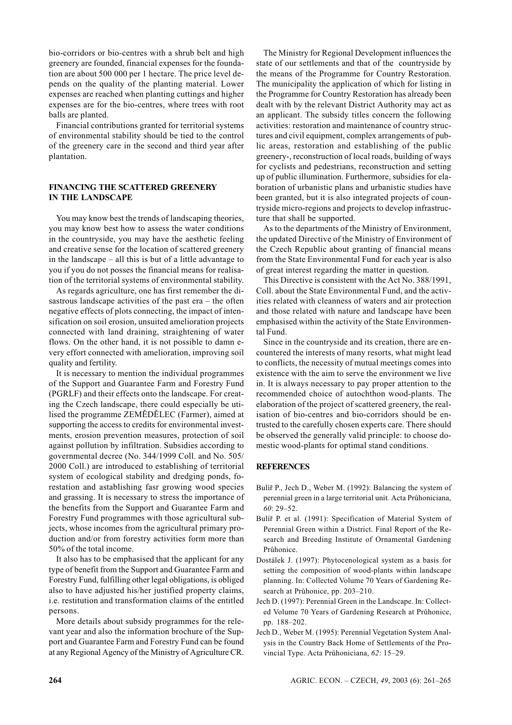bio-corridors or bio-centres with a shrub belt and high greenery are founded, financial expenses for the foundation are about 500 000 per 1 hectare. The price level depends on the quality of the planting material. Lower expenses are reached when planting cuttings and higher expenses are for the bio-centres, where trees with root balls are planted.

Financial contributions granted for territorial systems of environmental stability should be tied to the control of the greenery care in the second and third year after plantation.

# FINANCING THE SCATTERED GREENERY IN THE LANDSCAPE

You may know best the trends of landscaping theories, you may know best how to assess the water conditions in the countryside, you may have the aesthetic feeling and creative sense for the location of scattered greenery in the landscape  $-$  all this is but of a little advantage to vou if you do not posses the financial means for realisation of the territorial systems of environmental stability.

As regards agriculture, one has first remember the disastrous landscape activities of the past  $era$  – the often negative effects of plots connecting, the impact of intensification on soil erosion, unsuited amelioration projects connected with land draining, straightening of water flows. On the other hand, it is not possible to damn every effort connected with amelioration, improving soil quality and fertility.

It is necessary to mention the individual programmes of the Support and Guarantee Farm and Forestry Fund (PGRLF) and their effects onto the landscape. For creating the Czech landscape, there could especially be utilised the programme ZEMEDELEC (Farmer), aimed at supporting the access to credits for environmental investments, erosion prevention measures, protection of soil against pollution by infiltration. Subsidies according to governmental decree (No. 344/1999 Coll. and No. 505/ 2000 Coll.) are introduced to establishing of territorial system of ecological stability and dredging ponds, forestation and astablishing fasr growing wood species and grassing. It is necessary to stress the importance of the benefits from the Support and Guarantee Farm and Forestry Fund programmes with those agricultural subjects, whose incomes from the agricultural primary production and/or from forestry activities form more than 50% of the total income.

It also has to be emphasised that the applicant for any type of benefit from the Support and Guarantee Farm and Forestry Fund, fulfilling other legal obligations, is obliged also to have adjusted his/her justified property claims, i.e. restitution and transformation claims of the entitled nersons.

More details about subsidy programmes for the relevant year and also the information brochure of the Support and Guarantee Farm and Forestry Fund can be found at any Regional Agency of the Ministry of Agriculture CR.

The Ministry for Regional Development influences the state of our settlements and that of the countryside by the means of the Programme for Country Restoration. The municipality the application of which for listing in the Programme for Country Restoration has already been dealt with by the relevant District Authority may act as an applicant. The subsidy titles concern the following activities: restoration and maintenance of country structures and civil equipment, complex arrangements of public areas, restoration and establishing of the public greenery-, reconstruction of local roads, building of ways for cyclists and pedestrians, reconstruction and setting up of public illumination. Furthermore, subsidies for elaboration of urbanistic plans and urbanistic studies have been granted, but it is also integrated projects of countryside micro-regions and projects to develop infrastructure that shall be supported.

As to the departments of the Ministry of Environment, the updated Directive of the Ministry of Environment of the Czech Republic about granting of financial means from the State Environmental Fund for each year is also of great interest regarding the matter in question.

This Directive is consistent with the Act No. 388/1991. Coll, about the State Environmental Fund, and the activities related with cleanness of waters and air protection and those related with nature and landscape have been emphasised within the activity of the State Environmental Fund.

Since in the countryside and its creation, there are encountered the interests of many resorts, what might lead to conflicts, the necessity of mutual meetings comes into existence with the aim to serve the environment we live in. It is always necessary to pay proper attention to the recommended choice of autochthon wood-plants. The elaboration of the project of scattered greenery, the realisation of bio-centres and bio-corridors should be entrusted to the carefully chosen experts care. There should be observed the generally valid principle: to choose domestic wood-plants for optimal stand conditions.

# **REFERENCES**

- Bulíř P., Jech D., Weber M. (1992): Balancing the system of perennial green in a large territorial unit. Acta Průhoniciana,  $60:29 - 52.$
- Bulíř P. et al. (1991): Specification of Material System of Perennial Green within a District. Final Report of the Research and Breeding Institute of Ornamental Gardening Průhonice.
- Dostálek J. (1997): Phytocenological system as a basis for setting the composition of wood-plants within landscape planning. In: Collected Volume 70 Years of Gardening Research at Průhonice, pp. 203-210.
- Jech D. (1997): Perennial Green in the Landscape. In: Collected Volume 70 Years of Gardening Research at Průhonice, pp. 188-202.
- Jech D., Weber M. (1995): Perennial Vegetation System Analysis in the Country Back Home of Settlements of the Provincial Type. Acta Průhoniciana, 62: 15-29.